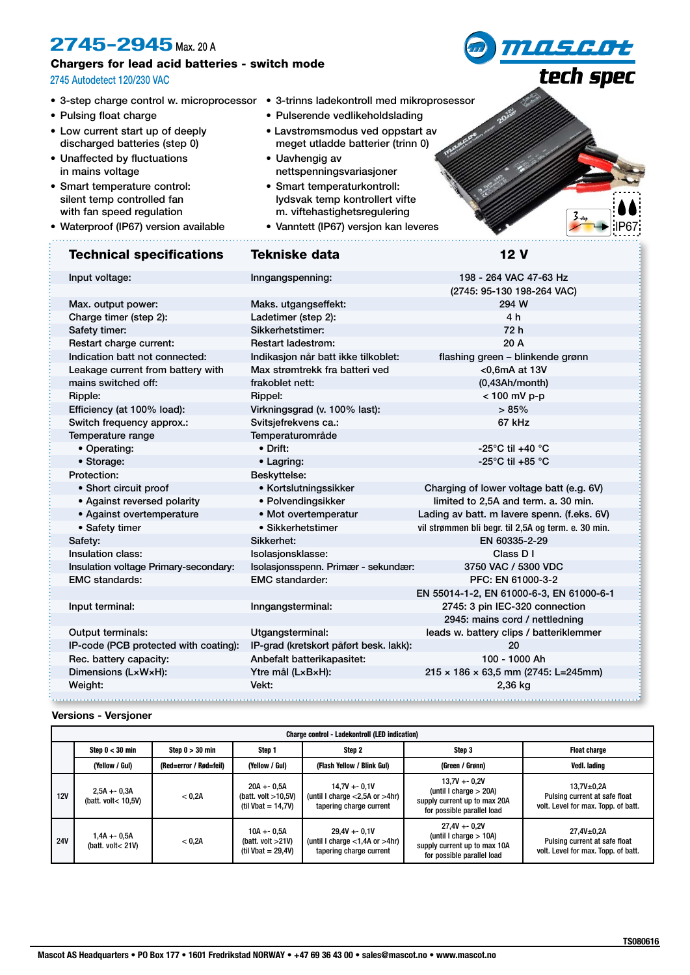# **2745-2945** Max. 20 A

## Chargers for lead acid batteries - switch mode

### 2745 Autodetect 120/230 VAC

- 
- Pulsing float charge
- Low current start up of deeply discharged batteries (step 0)
- Unaffected by fluctuations in mains voltage
- Smart temperature control: silent temp controlled fan with fan speed regulation
- Waterproof (IP67) version available

# Technical specifications Tekniske data 12 V

• 3-step charge control w. microprocessor • 3-trinns ladekontroll med mikroprosessor

- Pulserende vedlikeholdslading
- Lavstrømsmodus ved oppstart av meget utladde batterier (trinn 0)
- Uavhengig av nettspenningsvariasjoner
- Smart temperaturkontroll: lydsvak temp kontrollert vifte m. viftehastighetsregulering
- Vanntett (IP67) versjon kan leveres

**MASGOt** 

tech spec

| Input voltage:                        | 198 - 264 VAC 47-63 Hz<br>Inngangspenning:      |                                                     |  |
|---------------------------------------|-------------------------------------------------|-----------------------------------------------------|--|
|                                       |                                                 | (2745: 95-130 198-264 VAC)                          |  |
| Max. output power:                    | Maks. utgangseffekt:                            | 294 W                                               |  |
| Charge timer (step 2):                | Ladetimer (step 2):                             | 4 h                                                 |  |
| Safety timer:                         | Sikkerhetstimer:                                | 72 h                                                |  |
| Restart charge current:               | <b>Restart ladestrøm:</b>                       | 20A                                                 |  |
| Indication batt not connected:        | Indikasjon når batt ikke tilkoblet:             | flashing green - blinkende grønn                    |  |
| Leakage current from battery with     | Max strømtrekk fra batteri ved<br><0,6mA at 13V |                                                     |  |
| mains switched off:                   | frakoblet nett:<br>(0,43Ah/mol)                 |                                                     |  |
| Ripple:                               | Rippel:                                         | < 100 mV p-p                                        |  |
| Efficiency (at 100% load):            | Virkningsgrad (v. 100% last):                   | >85%                                                |  |
| Switch frequency approx.:             | Svitsjefrekvens ca.:                            | 67 kHz                                              |  |
| Temperature range                     | Temperaturområde                                |                                                     |  |
| • Operating:                          | • Drift:                                        | -25 $^{\circ}$ C til +40 $^{\circ}$ C               |  |
| • Storage:                            | • Lagring:                                      | -25 $^{\circ}$ C til +85 $^{\circ}$ C               |  |
| Protection:                           | Beskyttelse:                                    |                                                     |  |
| • Short circuit proof                 | • Kortslutningssikker                           | Charging of lower voltage batt (e.g. 6V)            |  |
| • Against reversed polarity           | • Polvendingsikker                              | limited to 2,5A and term. a. 30 min.                |  |
| • Against overtemperature             | • Mot overtemperatur                            | Lading av batt. m lavere spenn. (f.eks. 6V)         |  |
| • Safety timer                        | • Sikkerhetstimer                               | vil strømmen bli begr. til 2,5A og term. e. 30 min. |  |
| Safety:                               | Sikkerhet:                                      | EN 60335-2-29                                       |  |
| Insulation class:                     | Isolasjonsklasse:                               | Class D I                                           |  |
| Insulation voltage Primary-secondary: | Isolasjonsspenn. Primær - sekundær:             | 3750 VAC / 5300 VDC                                 |  |
| <b>EMC</b> standards:                 | <b>EMC</b> standarder:                          | PFC: EN 61000-3-2                                   |  |
|                                       |                                                 | EN 55014-1-2, EN 61000-6-3, EN 61000-6-1            |  |
| Input terminal:                       | Inngangsterminal:                               | 2745: 3 pin IEC-320 connection                      |  |
|                                       |                                                 | 2945: mains cord / nettledning                      |  |
| Output terminals:                     | Utgangsterminal:                                | leads w. battery clips / batteriklemmer             |  |
| IP-code (PCB protected with coating): | IP-grad (kretskort påført besk. lakk):          | 20                                                  |  |
| Rec. battery capacity:                | 100 - 1000 Ah<br>Anbefalt batterikapasitet:     |                                                     |  |
| Dimensions (LxWxH):                   | Ytre mål (LxBxH):                               | $215 \times 186 \times 63,5$ mm (2745: L=245mm)     |  |
| Weight:                               | Vekt:                                           | 2,36 kg                                             |  |
|                                       |                                                 |                                                     |  |

#### **Versions - Versjoner**

| <b>Charge control - Ladekontroll (LED indication)</b> |                                      |                        |                                                                 |                                                                                    |                                                                                                            |                                                                                        |  |
|-------------------------------------------------------|--------------------------------------|------------------------|-----------------------------------------------------------------|------------------------------------------------------------------------------------|------------------------------------------------------------------------------------------------------------|----------------------------------------------------------------------------------------|--|
|                                                       | Step $0 < 30$ min                    | Step $0 > 30$ min      | Step 1                                                          | Step 2                                                                             | Step 3                                                                                                     | <b>Float charge</b>                                                                    |  |
|                                                       | (Yellow / Gul)                       | (Red=error / Rød=feil) | (Yellow / Gul)                                                  | (Flash Yellow / Blink Gul)                                                         | (Green / Grønn)                                                                                            | Vedl. lading                                                                           |  |
| 12V                                                   | $2,5A + 0,3A$<br>(batt. volt< 10.5V) | < 0.2A                 | $20A + 0.5A$<br>(batt. volt $>10,5V$ )<br>(til Vbat = $14,7V$ ) | $14.7V + -0.1V$<br>(until I charge $<$ 2,5A or $>$ 4hr)<br>tapering charge current | $13.7V + 0.2V$<br>(until I charge $> 20A$ )<br>supply current up to max 20A<br>for possible parallel load  | $13.7V + 0.2A$<br>Pulsing current at safe float<br>volt. Level for max. Topp. of batt. |  |
| <b>24V</b>                                            | 1,4A +- 0,5A<br>(batt. volt< $21V$ ) | < 0.2A                 | $10A + 0.5A$<br>(batt. volt $>21V$ )<br>(til Vbat = $29.4V$ )   | $29.4V + -0.1V$<br>(until I charge $<$ 1,4A or $>$ 4hr)<br>tapering charge current | $27.4V + -0.2V$<br>(until I charge $> 10A$ )<br>supply current up to max 10A<br>for possible parallel load | $27,4V+0,2A$<br>Pulsing current at safe float<br>volt. Level for max. Topp. of batt.   |  |